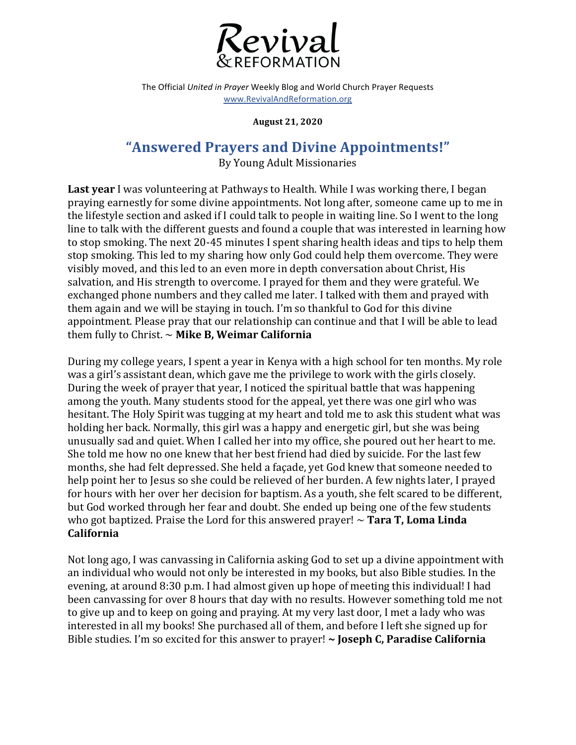

The Official *United in Prayer* Weekly Blog and World Church Prayer Requests www.RevivalAndReformation.org

**August 21, 2020**

## **"Answered Prayers and Divine Appointments!"**

By Young Adult Missionaries

**Last year** I was volunteering at Pathways to Health. While I was working there, I began praying earnestly for some divine appointments. Not long after, someone came up to me in the lifestyle section and asked if I could talk to people in waiting line. So I went to the long line to talk with the different guests and found a couple that was interested in learning how to stop smoking. The next 20-45 minutes I spent sharing health ideas and tips to help them stop smoking. This led to my sharing how only God could help them overcome. They were visibly moved, and this led to an even more in depth conversation about Christ, His salvation, and His strength to overcome. I prayed for them and they were grateful. We exchanged phone numbers and they called me later. I talked with them and prayed with them again and we will be staying in touch. I'm so thankful to God for this divine appointment. Please pray that our relationship can continue and that I will be able to lead them fully to Christ.  $\sim$  Mike B, Weimar California

During my college years, I spent a year in Kenya with a high school for ten months. My role was a girl's assistant dean, which gave me the privilege to work with the girls closely. During the week of prayer that year, I noticed the spiritual battle that was happening among the youth. Many students stood for the appeal, yet there was one girl who was hesitant. The Holy Spirit was tugging at my heart and told me to ask this student what was holding her back. Normally, this girl was a happy and energetic girl, but she was being unusually sad and quiet. When I called her into my office, she poured out her heart to me. She told me how no one knew that her best friend had died by suicide. For the last few months, she had felt depressed. She held a façade, yet God knew that someone needed to help point her to Jesus so she could be relieved of her burden. A few nights later, I prayed for hours with her over her decision for baptism. As a youth, she felt scared to be different, but God worked through her fear and doubt. She ended up being one of the few students who got baptized. Praise the Lord for this answered prayer!  $\sim$  **Tara T, Loma Linda California**

Not long ago, I was canvassing in California asking God to set up a divine appointment with an individual who would not only be interested in my books, but also Bible studies. In the evening, at around 8:30 p.m. I had almost given up hope of meeting this individual! I had been canvassing for over 8 hours that day with no results. However something told me not to give up and to keep on going and praying. At my very last door, I met a lady who was interested in all my books! She purchased all of them, and before I left she signed up for Bible studies. I'm so excited for this answer to prayer! ~ Joseph C, Paradise California